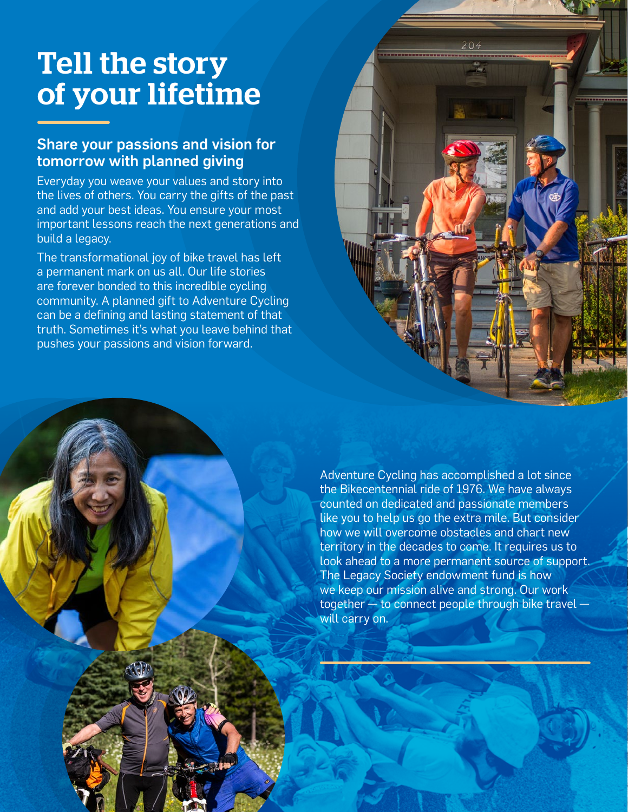# Tell the story of your lifetime

## Share your passions and vision for tomorrow with planned giving

Everyday you weave your values and story into the lives of others. You carry the gifts of the past and add your best ideas. You ensure your most important lessons reach the next generations and build a legacy.

The transformational joy of bike travel has left a permanent mark on us all. Our life stories are forever bonded to this incredible cycling community. A planned gift to Adventure Cycling can be a defining and lasting statement of that truth. Sometimes it's what you leave behind that pushes your passions and vision forward.

> Adventure Cycling has accomplished a lot since the Bikecentennial ride of 1976. We have always counted on dedicated and passionate members like you to help us go the extra mile. But consider how we will overcome obstacles and chart new territory in the decades to come. It requires us to look ahead to a more permanent source of support. The Legacy Society endowment fund is how we keep our mission alive and strong. Our work together  $-$  to connect people through bike travel  $\cdot$ will carry on.